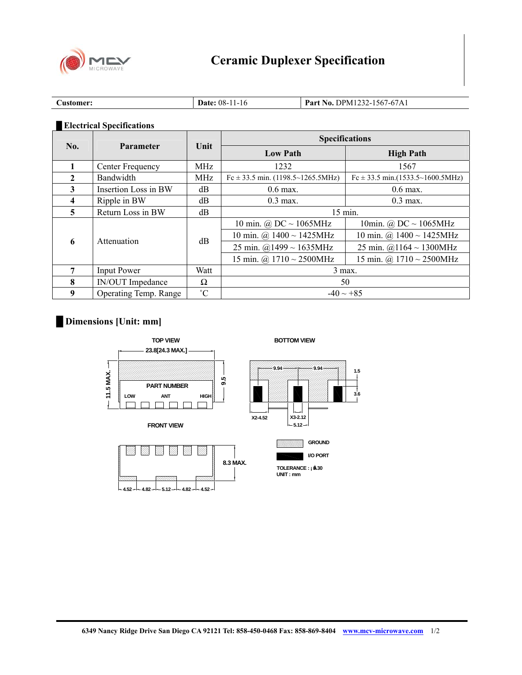

| $\sim$<br>Customer: | $08 -$<br>l I - 16<br>Date: | <b>Part No. DPM1232-1567-67A1</b> |
|---------------------|-----------------------------|-----------------------------------|

## **█ Electrical Specifications**

| <b>Parameter</b><br>No. |                              | <b>Specifications</b> |                                       |                                       |
|-------------------------|------------------------------|-----------------------|---------------------------------------|---------------------------------------|
|                         |                              | Unit                  | <b>Low Path</b>                       | <b>High Path</b>                      |
|                         | Center Frequency             | MHz                   | 1232                                  | 1567                                  |
| $\mathbf{2}$            | Bandwidth                    | <b>MHz</b>            | $Fc \pm 33.5$ min. (1198.5~1265.5MHz) | $Fc \pm 33.5$ min.(1533.5~1600.5MHz)  |
| 3                       | Insertion Loss in BW         | dB                    | $0.6$ max.                            | $0.6$ max.                            |
| 4                       | Ripple in BW                 | dB                    | $0.3$ max.                            | $0.3$ max.                            |
| 5                       | Return Loss in BW            | dB                    | $15$ min.                             |                                       |
| 6                       | Attenuation                  | dB                    | 10 min. $\omega$ DC $\sim$ 1065MHz    | 10min. @ DC $\sim$ 1065MHz            |
|                         |                              |                       | 10 min. @ $1400 \sim 1425 \text{MHz}$ | 10 min. @ $1400 \sim 1425 \text{MHz}$ |
|                         |                              |                       | 25 min. $@1499 \sim 1635 \text{MHz}$  | 25 min. @1164 ~ 1300MHz               |
|                         |                              |                       | 15 min. @ $1710 \sim 2500$ MHz        | 15 min. @ $1710 \sim 2500 \text{MHz}$ |
| 7                       | <b>Input Power</b>           | Watt                  | $3$ max.                              |                                       |
| 8                       | <b>IN/OUT</b> Impedance      | Ω                     | 50                                    |                                       |
| 9                       | <b>Operating Temp. Range</b> | $^{\circ}C$           | $-40 \sim +85$                        |                                       |

## **█ Dimensions [Unit: mm]**



**4.52 4.82 5.12 4.82 4.52**